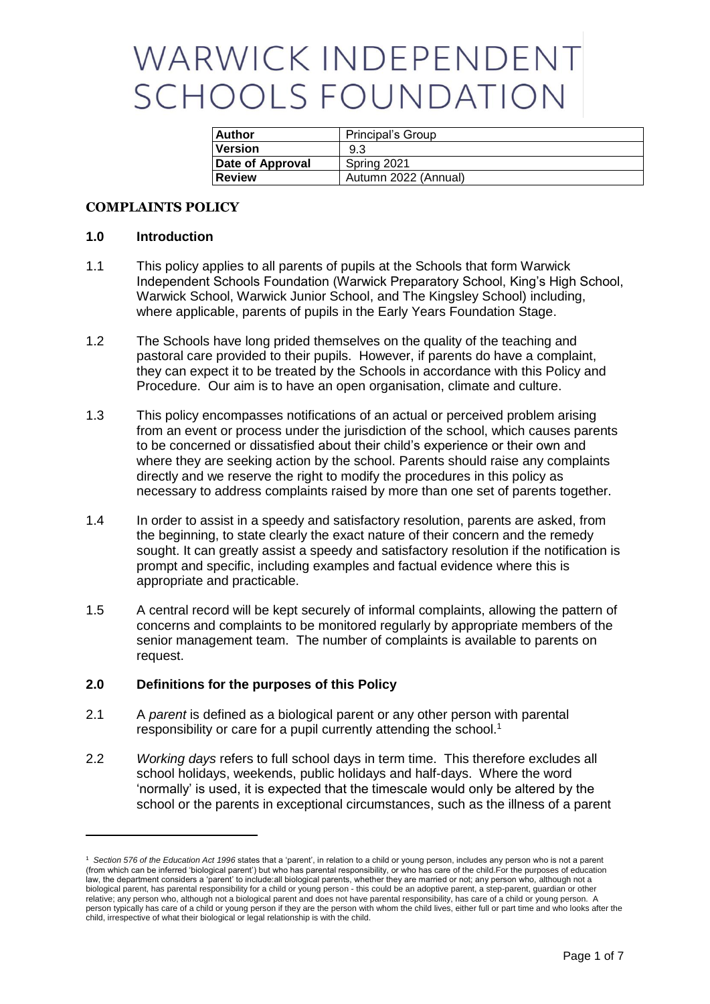# WARWICK INDEPENDENT **SCHOOLS FOUNDATION**

| <b>Author</b>    | Principal's Group    |  |
|------------------|----------------------|--|
| <b>Version</b>   | 9.3                  |  |
| Date of Approval | Spring 2021          |  |
| l Review         | Autumn 2022 (Annual) |  |

## **COMPLAINTS POLICY**

#### **1.0 Introduction**

-

- 1.1 This policy applies to all parents of pupils at the Schools that form Warwick Independent Schools Foundation (Warwick Preparatory School, King's High School, Warwick School, Warwick Junior School, and The Kingsley School) including, where applicable, parents of pupils in the Early Years Foundation Stage.
- 1.2 The Schools have long prided themselves on the quality of the teaching and pastoral care provided to their pupils. However, if parents do have a complaint, they can expect it to be treated by the Schools in accordance with this Policy and Procedure. Our aim is to have an open organisation, climate and culture.
- 1.3 This policy encompasses notifications of an actual or perceived problem arising from an event or process under the jurisdiction of the school, which causes parents to be concerned or dissatisfied about their child's experience or their own and where they are seeking action by the school. Parents should raise any complaints directly and we reserve the right to modify the procedures in this policy as necessary to address complaints raised by more than one set of parents together.
- 1.4 In order to assist in a speedy and satisfactory resolution, parents are asked, from the beginning, to state clearly the exact nature of their concern and the remedy sought. It can greatly assist a speedy and satisfactory resolution if the notification is prompt and specific, including examples and factual evidence where this is appropriate and practicable.
- 1.5 A central record will be kept securely of informal complaints, allowing the pattern of concerns and complaints to be monitored regularly by appropriate members of the senior management team. The number of complaints is available to parents on request.

#### **2.0 Definitions for the purposes of this Policy**

- 2.1 A *parent* is defined as a biological parent or any other person with parental responsibility or care for a pupil currently attending the school.<sup>1</sup>
- 2.2 *Working days* refers to full school days in term time. This therefore excludes all school holidays, weekends, public holidays and half-days. Where the word 'normally' is used, it is expected that the timescale would only be altered by the school or the parents in exceptional circumstances, such as the illness of a parent

<sup>1</sup> *Section 576 of the Education Act 1996* states that a 'parent', in relation to a child or young person, includes any person who is not a parent (from which can be inferred 'biological parent') but who has parental responsibility, or who has care of the child.For the purposes of education law, the department considers a 'parent' to include:all biological parents, whether they are married or not; any person who, although not a biological parent, has parental responsibility for a child or young person - this could be an adoptive parent, a step-parent, guardian or other relative; any person who, although not a biological parent and does not have parental responsibility, has care of a child or young person. A person typically has care of a child or young person if they are the person with whom the child lives, either full or part time and who looks after the child, irrespective of what their biological or legal relationship is with the child.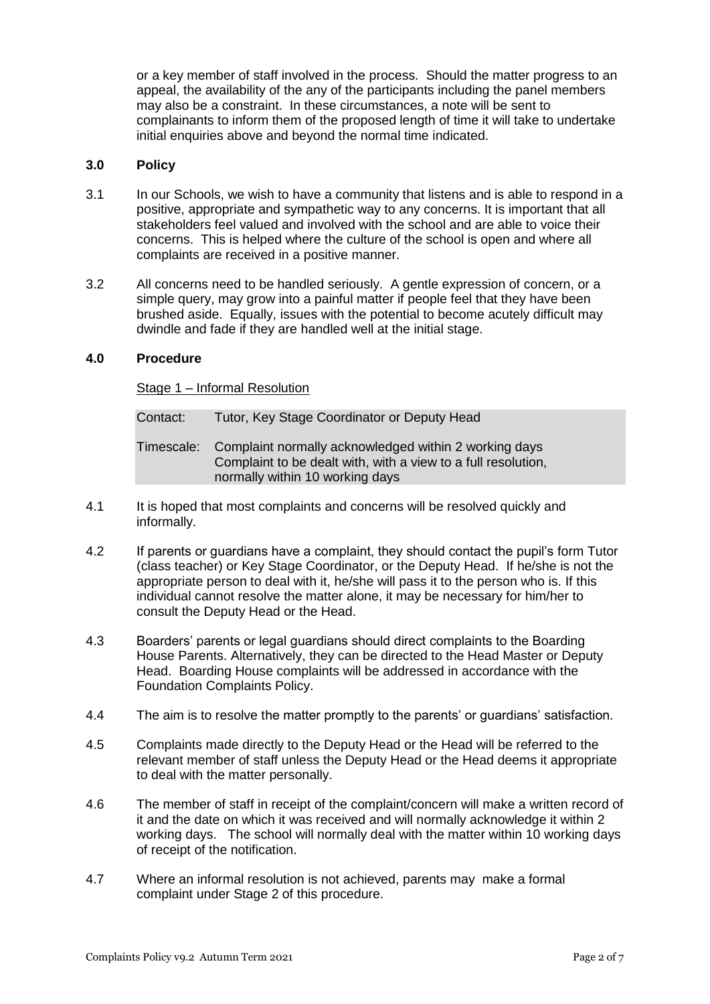or a key member of staff involved in the process. Should the matter progress to an appeal, the availability of the any of the participants including the panel members may also be a constraint. In these circumstances, a note will be sent to complainants to inform them of the proposed length of time it will take to undertake initial enquiries above and beyond the normal time indicated.

# **3.0 Policy**

- 3.1 In our Schools, we wish to have a community that listens and is able to respond in a positive, appropriate and sympathetic way to any concerns. It is important that all stakeholders feel valued and involved with the school and are able to voice their concerns. This is helped where the culture of the school is open and where all complaints are received in a positive manner.
- 3.2 All concerns need to be handled seriously. A gentle expression of concern, or a simple query, may grow into a painful matter if people feel that they have been brushed aside. Equally, issues with the potential to become acutely difficult may dwindle and fade if they are handled well at the initial stage.

## **4.0 Procedure**

Stage 1 – Informal Resolution

| Contact: | Tutor, Key Stage Coordinator or Deputy Head                                                                                                                          |
|----------|----------------------------------------------------------------------------------------------------------------------------------------------------------------------|
|          | Timescale: Complaint normally acknowledged within 2 working days<br>Complaint to be dealt with, with a view to a full resolution,<br>normally within 10 working days |

- 4.1 It is hoped that most complaints and concerns will be resolved quickly and informally.
- 4.2 If parents or guardians have a complaint, they should contact the pupil's form Tutor (class teacher) or Key Stage Coordinator, or the Deputy Head. If he/she is not the appropriate person to deal with it, he/she will pass it to the person who is. If this individual cannot resolve the matter alone, it may be necessary for him/her to consult the Deputy Head or the Head.
- 4.3 Boarders' parents or legal guardians should direct complaints to the Boarding House Parents. Alternatively, they can be directed to the Head Master or Deputy Head. Boarding House complaints will be addressed in accordance with the Foundation Complaints Policy.
- 4.4 The aim is to resolve the matter promptly to the parents' or guardians' satisfaction.
- 4.5 Complaints made directly to the Deputy Head or the Head will be referred to the relevant member of staff unless the Deputy Head or the Head deems it appropriate to deal with the matter personally.
- 4.6 The member of staff in receipt of the complaint/concern will make a written record of it and the date on which it was received and will normally acknowledge it within 2 working days. The school will normally deal with the matter within 10 working days of receipt of the notification.
- 4.7 Where an informal resolution is not achieved, parents may make a formal complaint under Stage 2 of this procedure.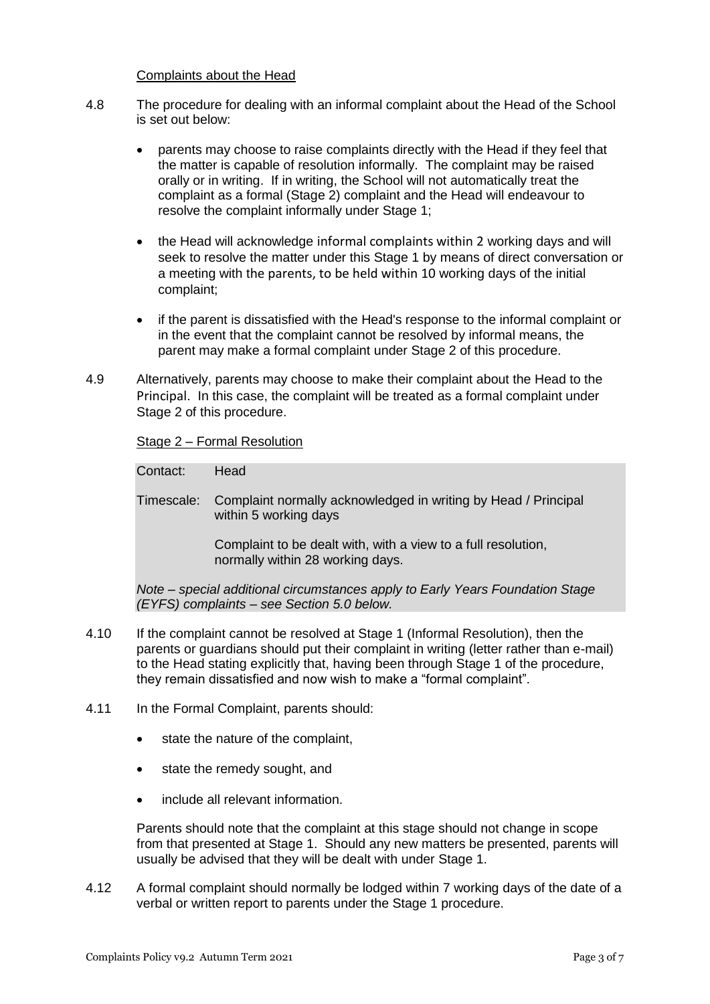#### Complaints about the Head

- 4.8 The procedure for dealing with an informal complaint about the Head of the School is set out below:
	- parents may choose to raise complaints directly with the Head if they feel that the matter is capable of resolution informally. The complaint may be raised orally or in writing. If in writing, the School will not automatically treat the complaint as a formal (Stage 2) complaint and the Head will endeavour to resolve the complaint informally under Stage 1;
	- the Head will acknowledge informal complaints within 2 working days and will seek to resolve the matter under this Stage 1 by means of direct conversation or a meeting with the parents, to be held within 10 working days of the initial complaint;
	- if the parent is dissatisfied with the Head's response to the informal complaint or in the event that the complaint cannot be resolved by informal means, the parent may make a formal complaint under Stage 2 of this procedure.
- 4.9 Alternatively, parents may choose to make their complaint about the Head to the Principal. In this case, the complaint will be treated as a formal complaint under Stage 2 of this procedure.

## Stage 2 – Formal Resolution

Contact: Head

Timescale: Complaint normally acknowledged in writing by Head / Principal within 5 working days

> Complaint to be dealt with, with a view to a full resolution, normally within 28 working days.

*Note – special additional circumstances apply to Early Years Foundation Stage (EYFS) complaints – see Section [5.0](#page-4-0) below.*

- 4.10 If the complaint cannot be resolved at Stage 1 (Informal Resolution), then the parents or guardians should put their complaint in writing (letter rather than e-mail) to the Head stating explicitly that, having been through Stage 1 of the procedure, they remain dissatisfied and now wish to make a "formal complaint".
- 4.11 In the Formal Complaint, parents should:
	- state the nature of the complaint.
	- state the remedy sought, and
	- include all relevant information.

Parents should note that the complaint at this stage should not change in scope from that presented at Stage 1. Should any new matters be presented, parents will usually be advised that they will be dealt with under Stage 1.

4.12 A formal complaint should normally be lodged within 7 working days of the date of a verbal or written report to parents under the Stage 1 procedure.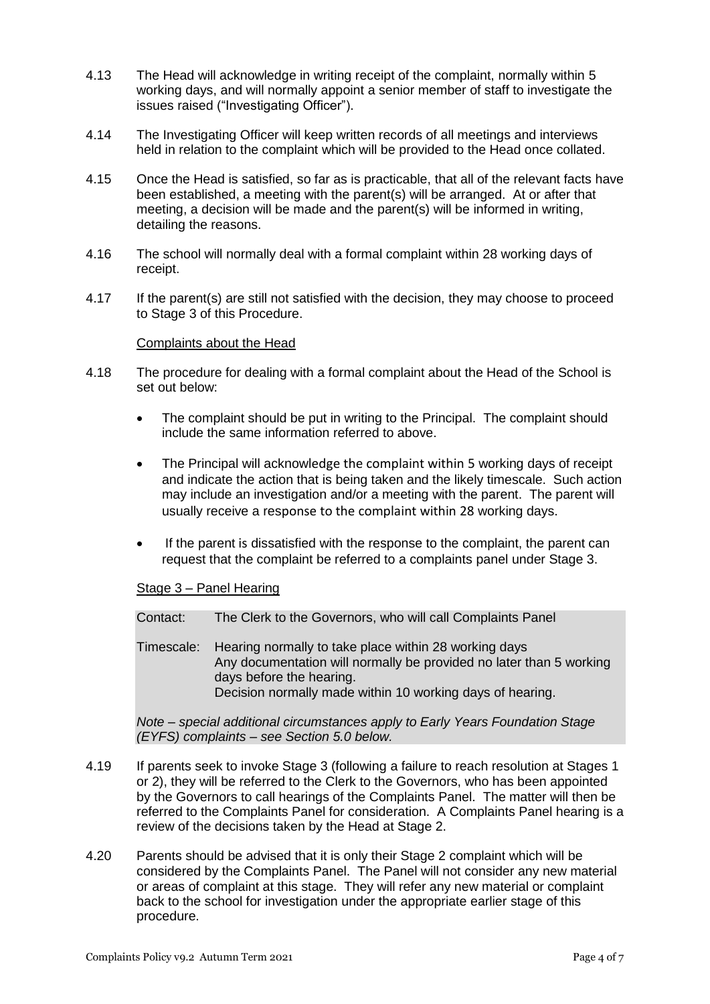- 4.13 The Head will acknowledge in writing receipt of the complaint, normally within 5 working days, and will normally appoint a senior member of staff to investigate the issues raised ("Investigating Officer").
- 4.14 The Investigating Officer will keep written records of all meetings and interviews held in relation to the complaint which will be provided to the Head once collated.
- 4.15 Once the Head is satisfied, so far as is practicable, that all of the relevant facts have been established, a meeting with the parent(s) will be arranged. At or after that meeting, a decision will be made and the parent(s) will be informed in writing, detailing the reasons.
- 4.16 The school will normally deal with a formal complaint within 28 working days of receipt.
- 4.17 If the parent(s) are still not satisfied with the decision, they may choose to proceed to Stage 3 of this Procedure.

#### Complaints about the Head

- 4.18 The procedure for dealing with a formal complaint about the Head of the School is set out below:
	- The complaint should be put in writing to the Principal. The complaint should include the same information referred to above.
	- The Principal will acknowledge the complaint within 5 working days of receipt and indicate the action that is being taken and the likely timescale. Such action may include an investigation and/or a meeting with the parent. The parent will usually receive a response to the complaint within 28 working days.
	- If the parent is dissatisfied with the response to the complaint, the parent can request that the complaint be referred to a complaints panel under Stage 3.

#### Stage 3 – Panel Hearing

Contact: The Clerk to the Governors, who will call Complaints Panel

Timescale: Hearing normally to take place within 28 working days Any documentation will normally be provided no later than 5 working days before the hearing. Decision normally made within 10 working days of hearing.

*Note – special additional circumstances apply to Early Years Foundation Stage (EYFS) complaints – see Section [5.0](#page-4-0) below.*

- 4.19 If parents seek to invoke Stage 3 (following a failure to reach resolution at Stages 1 or 2), they will be referred to the Clerk to the Governors, who has been appointed by the Governors to call hearings of the Complaints Panel. The matter will then be referred to the Complaints Panel for consideration. A Complaints Panel hearing is a review of the decisions taken by the Head at Stage 2.
- 4.20 Parents should be advised that it is only their Stage 2 complaint which will be considered by the Complaints Panel. The Panel will not consider any new material or areas of complaint at this stage. They will refer any new material or complaint back to the school for investigation under the appropriate earlier stage of this procedure.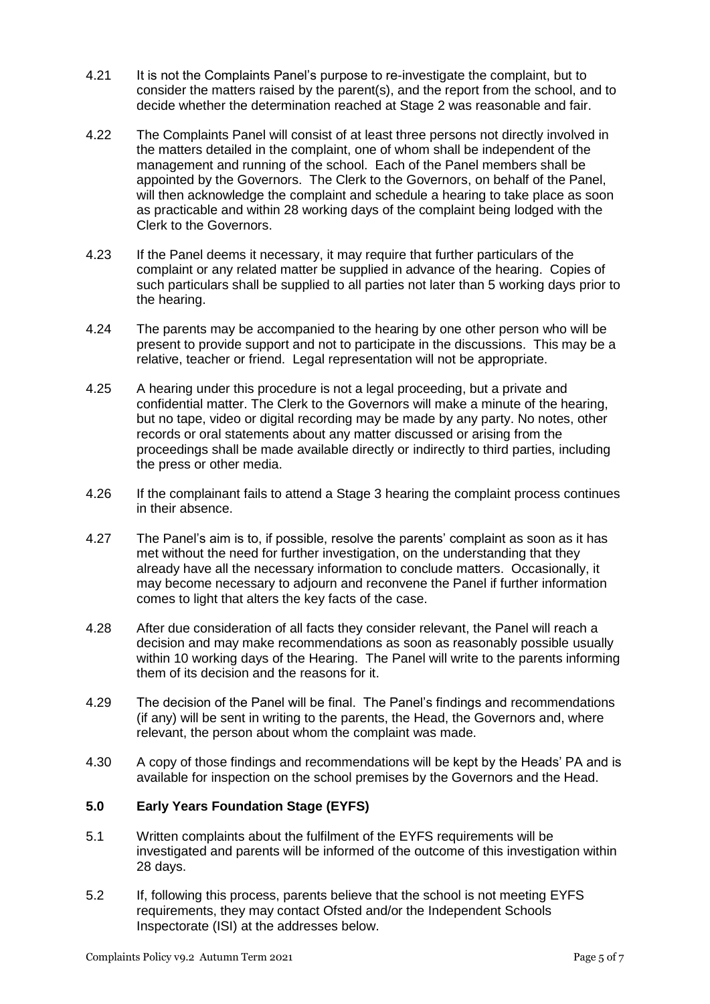- 4.21 It is not the Complaints Panel's purpose to re-investigate the complaint, but to consider the matters raised by the parent(s), and the report from the school, and to decide whether the determination reached at Stage 2 was reasonable and fair.
- 4.22 The Complaints Panel will consist of at least three persons not directly involved in the matters detailed in the complaint, one of whom shall be independent of the management and running of the school. Each of the Panel members shall be appointed by the Governors. The Clerk to the Governors, on behalf of the Panel, will then acknowledge the complaint and schedule a hearing to take place as soon as practicable and within 28 working days of the complaint being lodged with the Clerk to the Governors.
- 4.23 If the Panel deems it necessary, it may require that further particulars of the complaint or any related matter be supplied in advance of the hearing. Copies of such particulars shall be supplied to all parties not later than 5 working days prior to the hearing.
- 4.24 The parents may be accompanied to the hearing by one other person who will be present to provide support and not to participate in the discussions. This may be a relative, teacher or friend. Legal representation will not be appropriate.
- 4.25 A hearing under this procedure is not a legal proceeding, but a private and confidential matter. The Clerk to the Governors will make a minute of the hearing, but no tape, video or digital recording may be made by any party. No notes, other records or oral statements about any matter discussed or arising from the proceedings shall be made available directly or indirectly to third parties, including the press or other media.
- 4.26 If the complainant fails to attend a Stage 3 hearing the complaint process continues in their absence.
- 4.27 The Panel's aim is to, if possible, resolve the parents' complaint as soon as it has met without the need for further investigation, on the understanding that they already have all the necessary information to conclude matters. Occasionally, it may become necessary to adjourn and reconvene the Panel if further information comes to light that alters the key facts of the case.
- 4.28 After due consideration of all facts they consider relevant, the Panel will reach a decision and may make recommendations as soon as reasonably possible usually within 10 working days of the Hearing. The Panel will write to the parents informing them of its decision and the reasons for it.
- 4.29 The decision of the Panel will be final. The Panel's findings and recommendations (if any) will be sent in writing to the parents, the Head, the Governors and, where relevant, the person about whom the complaint was made.
- 4.30 A copy of those findings and recommendations will be kept by the Heads' PA and is available for inspection on the school premises by the Governors and the Head.

# <span id="page-4-0"></span>**5.0 Early Years Foundation Stage (EYFS)**

- 5.1 Written complaints about the fulfilment of the EYFS requirements will be investigated and parents will be informed of the outcome of this investigation within 28 days.
- 5.2 If, following this process, parents believe that the school is not meeting EYFS requirements, they may contact Ofsted and/or the Independent Schools Inspectorate (ISI) at the addresses below.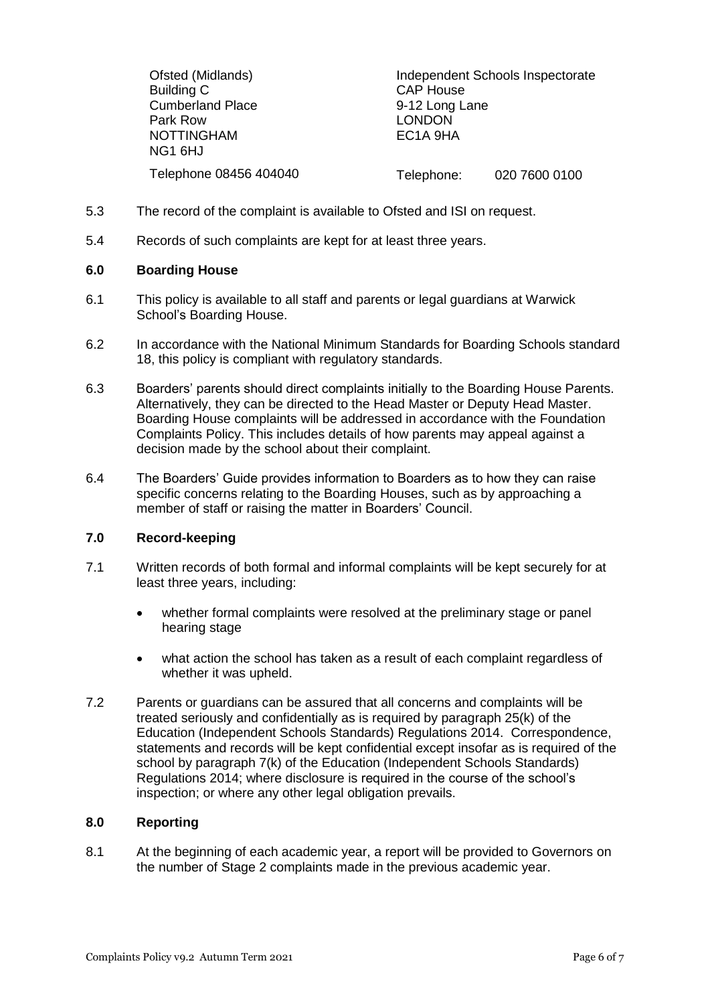| Ofsted (Midlands)<br>Building C<br><b>Cumberland Place</b><br>Park Row<br>NOTTINGHAM<br>NG1 6HJ | <b>CAP House</b><br>9-12 Long Lane<br><b>LONDON</b><br>EC <sub>1</sub> A 9HA | Independent Schools Inspectorate |
|-------------------------------------------------------------------------------------------------|------------------------------------------------------------------------------|----------------------------------|
| Telephone 08456 404040                                                                          | Telephone:                                                                   | 020 7600 0100                    |

- 5.3 The record of the complaint is available to Ofsted and ISI on request.
- 5.4 Records of such complaints are kept for at least three years.

# **6.0 Boarding House**

- 6.1 This policy is available to all staff and parents or legal guardians at Warwick School's Boarding House.
- 6.2 In accordance with the National Minimum Standards for Boarding Schools standard 18, this policy is compliant with regulatory standards.
- 6.3 Boarders' parents should direct complaints initially to the Boarding House Parents. Alternatively, they can be directed to the Head Master or Deputy Head Master. Boarding House complaints will be addressed in accordance with the Foundation Complaints Policy. This includes details of how parents may appeal against a decision made by the school about their complaint.
- 6.4 The Boarders' Guide provides information to Boarders as to how they can raise specific concerns relating to the Boarding Houses, such as by approaching a member of staff or raising the matter in Boarders' Council.

# **7.0 Record-keeping**

- 7.1 Written records of both formal and informal complaints will be kept securely for at least three years, including:
	- whether formal complaints were resolved at the preliminary stage or panel hearing stage
	- what action the school has taken as a result of each complaint regardless of whether it was upheld.
- 7.2 Parents or guardians can be assured that all concerns and complaints will be treated seriously and confidentially as is required by paragraph 25(k) of the Education (Independent Schools Standards) Regulations 2014. Correspondence, statements and records will be kept confidential except insofar as is required of the school by paragraph 7(k) of the Education (Independent Schools Standards) Regulations 2014; where disclosure is required in the course of the school's inspection; or where any other legal obligation prevails.

# **8.0 Reporting**

8.1 At the beginning of each academic year, a report will be provided to Governors on the number of Stage 2 complaints made in the previous academic year.